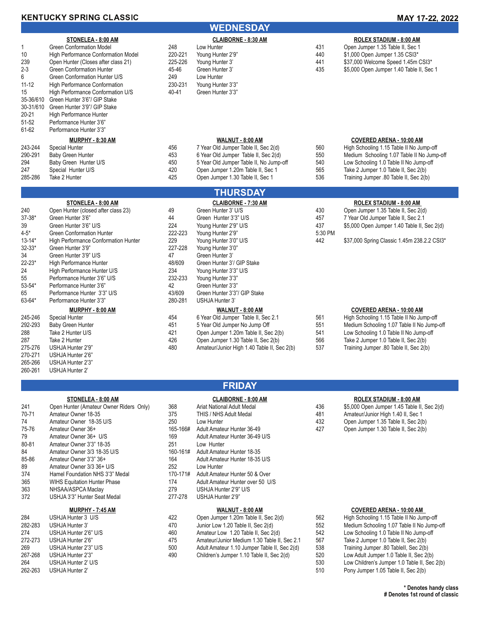#### - -

# **WEDNESDAY**

|           | STONELEA - 8:00 AM                  |         | <b>CLAIBORNE - 8:30 AM</b> |     | ROLEX STADIUM - 8:00 AM                  |
|-----------|-------------------------------------|---------|----------------------------|-----|------------------------------------------|
|           | <b>Green Conformation Model</b>     | 248     | Low Hunter                 | 431 | Open Jumper 1.35 Table II, Sec 1         |
| 10        | High Performance Conformation Model | 220-221 | Young Hunter 2'9"          | 440 | \$1,000 Open Jumper 1.35 CSI3*           |
| 239       | Open Hunter (Closes after class 21) | 225-226 | Young Hunter 3'            | 441 | \$37,000 Welcome Speed 1.45m CSI3*       |
| $2 - 3$   | <b>Green Conformation Hunter</b>    | 45-46   | Green Hunter 3'            | 435 | \$5,000 Open Jumper 1.40 Table II, Sec 1 |
| 6         | Green Conformation Hunter U/S       | 249     | Low Hunter                 |     |                                          |
| $11 - 12$ | High Performance Conformation       | 230-231 | Young Hunter 3'3"          |     |                                          |
| 15        | High Performance Conformation U/S   | 40-41   | Green Hunter 3'3"          |     |                                          |

## 35-36/610 Green Hunter 3'6"/ GIP Stake 30-31/610 Green Hunter 3'9"/ GIP Stake<br>20-21 High Performance Hunter 20-21 High Performance Hunter<br>51-52 Performance Hunter 3'6" 51-52 Performance Hunter 3'6" Performance Hunter 3'3"

#### **MURPHY - 8:30 AM** 243-244 Special Hunter<br>290-291 Baby Green Hu 290-291 Baby Green Hunter<br>294 Baby Green Hunter 294 Baby Green Hunter U/S<br>247 Special Hunter U/S Special Hunter U/S 285-286 Take 2 Hunter

# Open Jumper 1.20m Table II, Sec 1 425 Open Jumper 1.30 Table II, Sec 1

456 7 Year Old Jumper Table II, Sec 2(d)<br>453 6 Year Old Jumper Table II, Sec 2(d) 453 6 Year Old Jumper Table II, Sec 2(d) 450 5 Year Old Jumper Table II, No Jump-off<br>420 0pen Jumper 1.20m Table II, Sec 1

**WALNUT - 8:00 AM**

|            |                                      |         | THURSDAY                                    |         |                                             |
|------------|--------------------------------------|---------|---------------------------------------------|---------|---------------------------------------------|
|            | STONELEA - 8:00 AM                   |         | <b>CLAIBORNE - 7:30 AM</b>                  |         | ROLEX STADIUM - 8:00 AM                     |
| 240        | Open Hunter (closed after class 23)  | 49      | Green Hunter 3' U/S                         | 430     | Open Jumper 1.35 Table II, Sec 2(d)         |
| 37-38*     | Green Hunter 3'6"                    | 44      | Green Hunter 3'3" U/S                       | 457     | 7 Year Old Jumper Table II, Sec 2.1         |
| 39         | Green Hunter 3'6" U/S                | 224     | Young Hunter 2'9" U/S                       | 437     | \$5,000 Open Jumper 1.40 Table II, Sec 2(d) |
| $4 - 5*$   | <b>Green Conformation Hunter</b>     | 222-223 | Young Hunter 2'9"                           | 5:30 PM |                                             |
| $13 - 14*$ | High Performance Conformation Hunter | 229     | Young Hunter 3'0" U/S                       | 442     | \$37,000 Spring Classic 1.45m 238.2.2 CSI3* |
| $32 - 33*$ | Green Hunter 3'9"                    | 227-228 | Young Hunter 3'0"                           |         |                                             |
| 34         | Green Hunter 3'9" U/S                | 47      | Green Hunter 3'                             |         |                                             |
| $22 - 23*$ | High Performance Hunter              | 48/609  | Green Hunter 3'/ GIP Stake                  |         |                                             |
| 24         | High Performance Hunter U/S          | 234     | Young Hunter 3'3" U/S                       |         |                                             |
| 55         | Performance Hunter 3'6" U/S          | 232-233 | Young Hunter 3'3"                           |         |                                             |
| 53-54*     | Performance Hunter 3'6"              | 42      | Green Hunter 3'3"                           |         |                                             |
| 65         | Performance Hunter 3'3" U/S          | 43/609  | Green Hunter 3'3"/ GIP Stake                |         |                                             |
| $63 - 64*$ | Performance Hunter 3'3"              | 280-281 | USHJA Hunter 3'                             |         |                                             |
|            | MURPHY - 8:00 AM                     |         | WALNUT - 8:00 AM                            |         | <b>COVERED ARENA - 10:00 AM</b>             |
| 245-246    | Special Hunter                       | 454     | 6 Year Old Jumper Table II, Sec 2.1         | 561     | High Schooling 1.15 Table II No Jump-off    |
| 292-293    | Baby Green Hunter                    | 451     | 5 Year Old Jumper No Jump Off               | 551     | Medium Schooling 1.07 Table II No Jump-off  |
| 288        | Take 2 Hunter U/S                    | 421     | Open Jumper 1.20m Table II, Sec 2(b)        | 541     | Low Schooling 1.0 Table II No Jump-off      |
| 287        | Take 2 Hunter                        | 426     | Open Jumper 1.30 Table II, Sec 2(b)         | 566     | Take 2 Jumper 1.0 Table II, Sec 2(b)        |
| 275-276    | USHJA Hunter 2'9"                    | 480     | Amateur/Junior High 1.40 Table II, Sec 2(b) | 537     | Training Jumper .80 Table II, Sec 2(b)      |
| 270-271    | USHJA Hunter 2'6"                    |         |                                             |         |                                             |

### **STONELEA - 8:00 AM**

265-266 USHJA Hunter 2'3" USHJA Hunter 2'

| 241   | Open Hunter (Amateur Owner Riders Only) |
|-------|-----------------------------------------|
| 70-71 | Amateur Owner 18-35                     |
| 74    | Amateur Owner 18-35 U/S                 |
| 75-76 | Amateur Owner 36+                       |
| 79    | Amateur Owner 36+ U/S                   |
| 80-81 | Amateur Owner 3'3" 18-35                |
| 84    | Amateur Owner 3/3 18-35 U/S             |
| 85-86 | Amateur Owner 3'3" 36+                  |
| 89    | Amateur Owner 3/3 36+ U/S               |
| 374   | Hamel Foundation NHS 3'3" Medal         |
| 365   | <b>WIHS Equitation Hunter Phase</b>     |
| 363   | NHSAA/ASPCA Maclay                      |
| 372   | USHJA 3'3" Hunter Seat Medal            |
|       |                                         |

## **MURPHY - 7:45 AM**

| 284     | USHJA Hunter 3 U/S    |
|---------|-----------------------|
| 282-283 | USHJA Hunter 3'       |
| 274     | USHJA Hunter 2'6" U/S |
| 272-273 | USHJA Hunter 2'6"     |
| 269     | USHJA Hunter 2'3" U/S |
| 267-268 | USHJA Hunter 2'3"     |
| 264     | USHJA Hunter 2' U/S   |
| 262-263 | USHJA Hunter 2'       |
|         |                       |

**CLAIBORNE - 8:00 AM** 368 Ariat National Adult Medal<br>375 THIS / NHS Adult Medal 375 THIS / NHS Adult Medal<br>250 Low Hunter 250 Low Hunter<br>165-166# Adult Amate Adult Amateur Hunter 36-49 169 Adult Amateur Hunter 36-49 U/S 251 Low Hunter 160-161# Adult Amateur Hunter 18-35 164 Adult Amateur Hunter 18-35 U/S 252 Low Hunter 170-171# Adult Amateur Hunter 50 & Over Adult Amateur Hunter over 50 U/S 279 USHJA Hunter 2'9" U/S<br>277-278 USHJA Hunter 2'9" USHJA Hunter 2'9" **WALNUT - 8:00 AM**

**FRIDAY** 

| 422 | Open Jumper 1.20m Table II, Sec 2(d)         |
|-----|----------------------------------------------|
| 470 | Junior Low 1.20 Table II, Sec 2(d)           |
| 460 | Amateur Low 1.20 Table II, Sec 2(d)          |
| 475 | Amateur/Junior Medium 1.30 Table II. Sec 2.1 |
| 500 | Adult Amateur 1.10 Jumper Table II, Sec 2(d) |
| 490 | Children's Jumper 1.10 Table II, Sec 2(d)    |
|     |                                              |

# **ROLEX STADIUM - 8:00 AM**

**COVERED ARENA - 10:00 AM** 560 High Schooling 1.15 Table II No Jump-off<br>550 Medium Schooling 1.07 Table II No Jump 550 Medium Schooling 1.07 Table II No Jump-off<br>540 Low Schooling 1.0 Table II No Jump-off 540 Low Schooling 1.0 Table II No Jump-off<br>565 Take 2 Jumper 1.0 Table II. Sec 2(b) 565 Take 2 Jumper 1.0 Table II, Sec 2(b)<br>536 Training Jumper .80 Table II, Sec 2(b)

536 Training Jumper .80 Table II, Sec 2(b)

| 436 | \$5,000 Open Jumper 1.45 Table II, Sec 2(d) |
|-----|---------------------------------------------|
| 481 | Amateur/Junior High 1.40 II, Sec 1          |
| 432 | Open Jumper 1.35 Table II, Sec 2(b)         |
| 427 | Open Jumper 1.30 Table II, Sec 2(b)         |

# **COVERED ARENA - 10:00 AM**

- 562 High Schooling 1.15 Table II No Jump-off<br>552 Medium Schooling 1.07 Table II No Jump
- 552 Medium Schooling 1.07 Table II No Jump-off
- 542 Low Schooling 1.0 Table II No Jump-off<br>567 Take 2 Jumper 1.0 Table II. Sec 2(b) 567 Take 2 Jumper 1.0 Table II, Sec 2(b)<br>538 Training Jumper .80 TableII, Sec 2(b)
	- 538 Training Jumper .80 TableII, Sec 2(b)
- 520 Low Adult Jumper 1.0 Table II, Sec 2(b)<br>530 Low Children's Jumper 1.0 Table II. Sec
- Low Children's Jumper 1.0 Table II, Sec 2(b) 510 Pony Jumper 1.05 Table II, Sec 2(b)